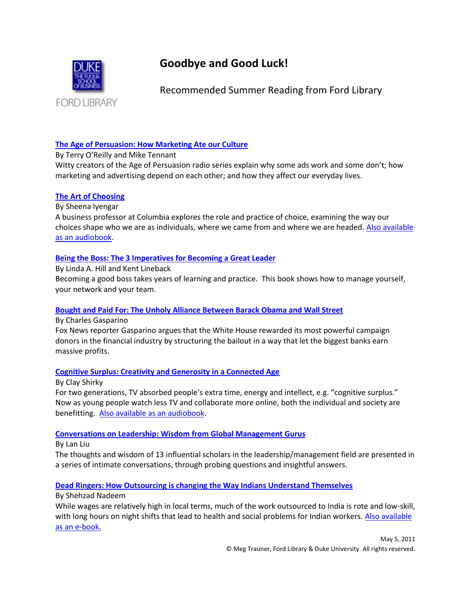

# **Goodbye and Good Luck!**

Recommended Summer Reading from Ford Library

# **[The Age of Persuasion: How Marketing Ate our Culture](http://library.duke.edu/catalog/search/recordid/DUKE004297332)**

## By Terry O'Reilly and Mike Tennant

Witty creators of the Age of Persuasion radio series explain why some ads work and some don't; how marketing and advertising depend on each other; and how they affect our everyday lives.

# **[The Art of Choosing](http://library.duke.edu/catalog/search/recordid/DUKE004295522)**

By Sheena Iyengar

A business professor at Columbia explores the role and practice of choice, examining the way our choices shape who we are as individuals, where we came from and where we are headed. Also available [as an audiobook.](http://library.duke.edu/catalog/search/recordid/DUKE004654099)

# **[Being the Boss: The 3 Imperatives for Becoming a Great Leader](http://library.duke.edu/catalog/search/recordid/DUKE004899673)**

By Linda A. Hill and Kent Lineback

Becoming a good boss takes years of learning and practice. This book shows how to manage yourself, your network and your team.

# **[Bought and Paid For: The Unholy Alliance Between Barack Obama and Wall Street](http://library.duke.edu/catalog/search/recordid/DUKE004647240)**

By Charles Gasparino

Fox News reporter Gasparino argues that the White House rewarded its most powerful campaign donors in the financial industry by structuring the bailout in a way that let the biggest banks earn massive profits.

# **[Cognitive Surplus: Creativity and Generosity in a Connected Age](http://library.duke.edu/catalog/search/recordid/DUKE004341714)**

By Clay Shirky

For two generations, TV absorbed people's extra time, energy and intellect, e.g. "cognitive surplus." Now as young people watch less TV and collaborate more online, both the individual and society are benefitting. [Also available as an audiobook.](http://library.duke.edu/catalog/search/recordid/DUKE004343627)

# **[Conversations on Leadership: Wisdom from Global Management Gurus](http://library.duke.edu/catalog/search/recordid/DUKE004626912)**

By Lan Liu

The thoughts and wisdom of 13 influential scholars in the leadership/management field are presented in a series of intimate conversations, through probing questions and insightful answers.

# **[Dead Ringers: How Outsourcing is changing the Way Indians Understand Themselves](http://library.duke.edu/catalog/search/recordid/DUKE004899643)**

## By Shehzad Nadeem

While wages are relatively high in local terms, much of the work outsourced to India is rote and low-skill, with long hours on night shifts that lead to health and social problems for Indian workers. Also available [as an e-book.](http://library.duke.edu/catalog/search/recordid/DUKE004901633)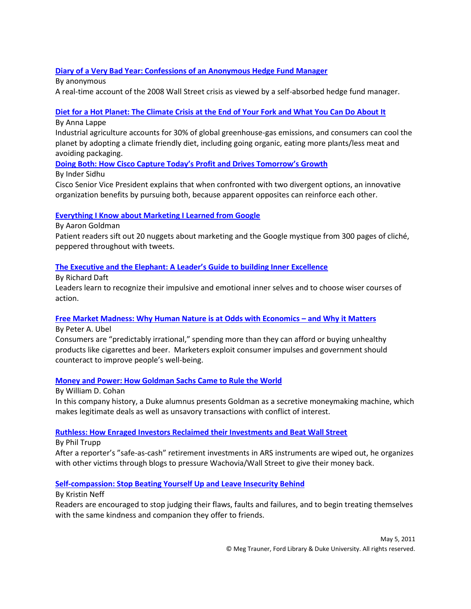# **[Diary of a Very Bad Year: Confessions of an Anonymous Hedge Fund Manager](http://library.duke.edu/catalog/search/recordid/DUKE004346145)**

By anonymous A real-time account of the 2008 Wall Street crisis as viewed by a self-absorbed hedge fund manager.

## **[Diet for a Hot Planet: The Climate Crisis at the End of Your Fork and What You Can Do About It](http://library.duke.edu/catalog/search/recordid/DUKE004308807)**

By Anna Lappe

Industrial agriculture accounts for 30% of global greenhouse-gas emissions, and consumers can cool the planet by adopting a climate friendly diet, including going organic, eating more plants/less meat and avoiding packaging.

**Doing Both: How Cisco Captur[e Today's Profit and Drives Tomorrow's Growth](http://library.duke.edu/catalog/search/recordid/DUKE004439938)**

By Inder Sidhu

Cisco Senior Vice President explains that when confronted with two divergent options, an innovative organization benefits by pursuing both, because apparent opposites can reinforce each other.

## **[Everything I Know about Marketing I Learned from Google](http://library.duke.edu/catalog/search/recordid/DUKE004628468)**

By Aaron Goldman

Patient readers sift out 20 nuggets about marketing and the Google mystique from 300 pages of cliché, peppered throughout with tweets.

## **[The Executive and the Elephant: A Leader's Guide to building Inner Excellence](http://library.duke.edu/catalog/search/recordid/DUKE004658301)**

By Richard Daft Leaders learn to recognize their impulsive and emotional inner selves and to choose wiser courses of action.

# **[Free Market Madness: Why Human Nature is at Odds with Economics](http://library.duke.edu/catalog/search/recordid/DUKE004171906) – and Why it Matters**

By Peter A. Ubel

Consumers are "predictably irrational," spending more than they can afford or buying unhealthy products like cigarettes and beer. Marketers exploit consumer impulses and government should counteract to improve people's well-being.

# **[Money and Power: How Goldman Sachs Came to Rule the World](http://library.duke.edu/catalog/search/recordid/DUKE004902821)**

By William D. Cohan In this company history, a Duke alumnus presents Goldman as a secretive moneymaking machine, which makes legitimate deals as well as unsavory transactions with conflict of interest.

## **[Ruthless: How Enraged Investors Reclaimed their Investments and Beat Wall Street](http://library.duke.edu/catalog/search/recordid/DUKE004625455)**

By Phil Trupp

After a reporter's "safe-as-cash" retirement investments in ARS instruments are wiped out, he organizes with other victims through blogs to pressure Wachovia/Wall Street to give their money back.

# **[Self-compassion: Stop Beating Yourself Up and Leave Insecurity Behind](http://library.duke.edu/catalog/search/recordid/DUKE004677387)**

By Kristin Neff

Readers are encouraged to stop judging their flaws, faults and failures, and to begin treating themselves with the same kindness and companion they offer to friends.